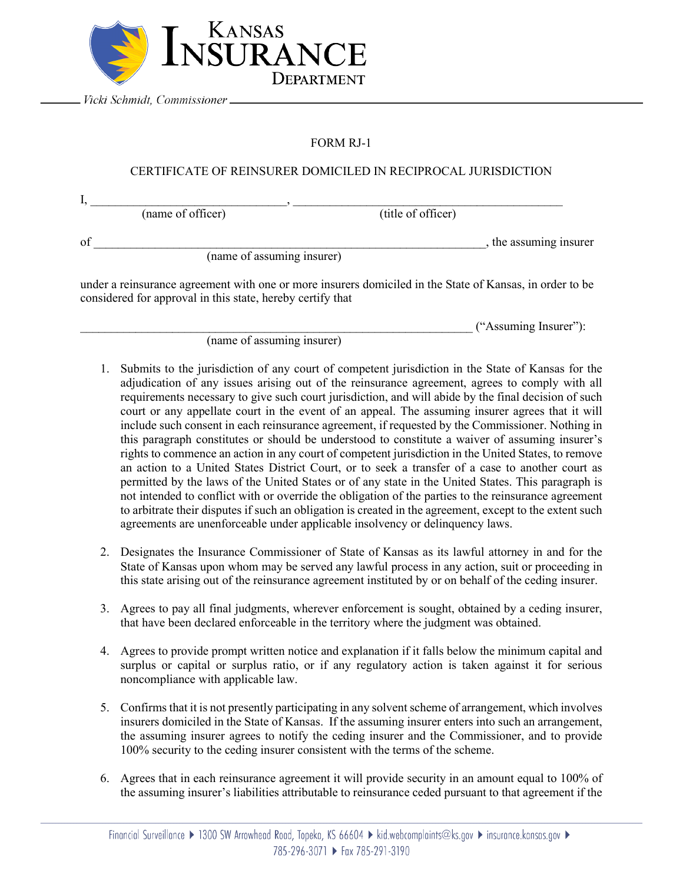

Vicki Schmidt, Commissioner \_

## FORM RJ-1

## CERTIFICATE OF REINSURER DOMICILED IN RECIPROCAL JURISDICTION

 ${\rm I},$   ${\rm I},$   ${\rm I},$   ${\rm I},$   ${\rm I},$   ${\rm I},$   ${\rm I},$   ${\rm I},$   ${\rm I},$   ${\rm I},$   ${\rm I},$   ${\rm I},$   ${\rm I},$   ${\rm I},$   ${\rm I},$   ${\rm I},$   ${\rm I},$   ${\rm I},$   ${\rm I},$   ${\rm I},$   ${\rm I},$   ${\rm I},$   ${\rm I},$   ${\rm I},$   ${\rm I},$   ${\rm I},$   ${\rm I},$   ${\rm I},$   ${\rm I},$   ${\rm I},$   ${\rm I},$   ${\rm I$ (name of officer) (title of officer) of \_\_\_\_\_\_\_\_\_\_\_\_\_\_\_\_\_\_\_\_\_\_\_\_\_\_\_\_\_\_\_\_\_\_\_\_\_\_\_\_\_\_\_\_\_\_\_\_\_\_\_\_\_\_\_\_\_\_\_\_\_\_\_\_, the assuming insurer (name of assuming insurer)

under a reinsurance agreement with one or more insurers domiciled in the State of Kansas, in order to be considered for approval in this state, hereby certify that

\_\_\_\_\_\_\_\_\_\_\_\_\_\_\_\_\_\_\_\_\_\_\_\_\_\_\_\_\_\_\_\_\_\_\_\_\_\_\_\_\_\_\_\_\_\_\_\_\_\_\_\_\_\_\_\_\_\_\_\_\_\_\_\_ ("Assuming Insurer"):

(name of assuming insurer)

- 1. Submits to the jurisdiction of any court of competent jurisdiction in the State of Kansas for the adjudication of any issues arising out of the reinsurance agreement, agrees to comply with all requirements necessary to give such court jurisdiction, and will abide by the final decision of such court or any appellate court in the event of an appeal. The assuming insurer agrees that it will include such consent in each reinsurance agreement, if requested by the Commissioner. Nothing in this paragraph constitutes or should be understood to constitute a waiver of assuming insurer's rights to commence an action in any court of competent jurisdiction in the United States, to remove an action to a United States District Court, or to seek a transfer of a case to another court as permitted by the laws of the United States or of any state in the United States. This paragraph is not intended to conflict with or override the obligation of the parties to the reinsurance agreement to arbitrate their disputes if such an obligation is created in the agreement, except to the extent such agreements are unenforceable under applicable insolvency or delinquency laws.
- 2. Designates the Insurance Commissioner of State of Kansas as its lawful attorney in and for the State of Kansas upon whom may be served any lawful process in any action, suit or proceeding in this state arising out of the reinsurance agreement instituted by or on behalf of the ceding insurer.
- 3. Agrees to pay all final judgments, wherever enforcement is sought, obtained by a ceding insurer, that have been declared enforceable in the territory where the judgment was obtained.
- 4. Agrees to provide prompt written notice and explanation if it falls below the minimum capital and surplus or capital or surplus ratio, or if any regulatory action is taken against it for serious noncompliance with applicable law.
- 5. Confirms that it is not presently participating in any solvent scheme of arrangement, which involves insurers domiciled in the State of Kansas. If the assuming insurer enters into such an arrangement, the assuming insurer agrees to notify the ceding insurer and the Commissioner, and to provide 100% security to the ceding insurer consistent with the terms of the scheme.
- 6. Agrees that in each reinsurance agreement it will provide security in an amount equal to 100% of the assuming insurer's liabilities attributable to reinsurance ceded pursuant to that agreement if the